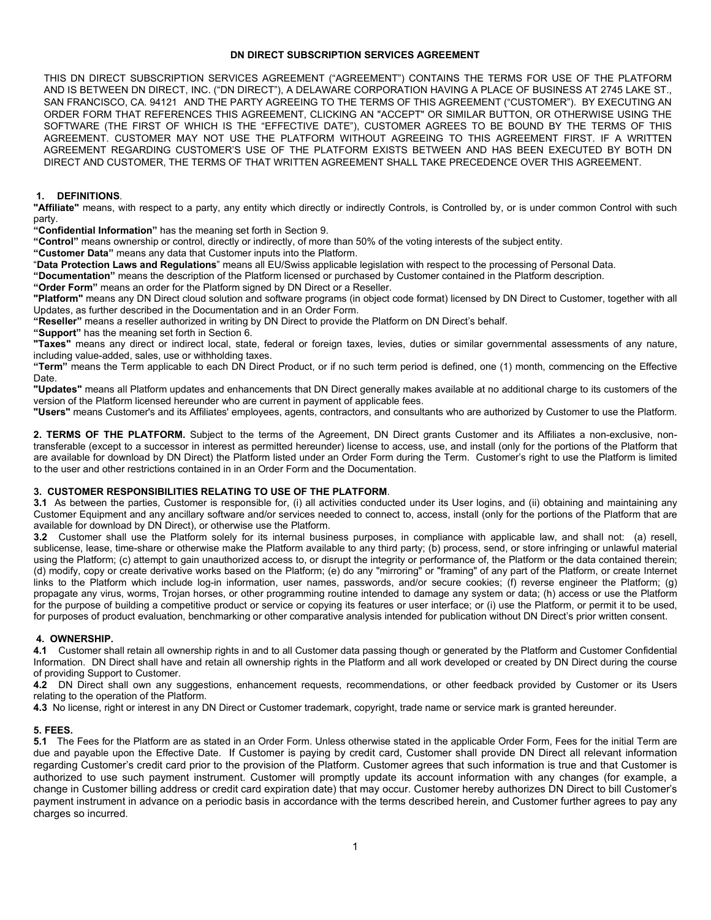## **DN DIRECT SUBSCRIPTION SERVICES AGREEMENT**

THIS DN DIRECT SUBSCRIPTION SERVICES AGREEMENT ("AGREEMENT") CONTAINS THE TERMS FOR USE OF THE PLATFORM AND IS BETWEEN DN DIRECT, INC. ("DN DIRECT"), A DELAWARE CORPORATION HAVING A PLACE OF BUSINESS AT 2745 LAKE ST., SAN FRANCISCO, CA. 94121 AND THE PARTY AGREEING TO THE TERMS OF THIS AGREEMENT ("CUSTOMER"). BY EXECUTING AN ORDER FORM THAT REFERENCES THIS AGREEMENT, CLICKING AN "ACCEPT" OR SIMILAR BUTTON, OR OTHERWISE USING THE SOFTWARE (THE FIRST OF WHICH IS THE "EFFECTIVE DATE"), CUSTOMER AGREES TO BE BOUND BY THE TERMS OF THIS AGREEMENT. CUSTOMER MAY NOT USE THE PLATFORM WITHOUT AGREEING TO THIS AGREEMENT FIRST. IF A WRITTEN AGREEMENT REGARDING CUSTOMER'S USE OF THE PLATFORM EXISTS BETWEEN AND HAS BEEN EXECUTED BY BOTH DN DIRECT AND CUSTOMER, THE TERMS OF THAT WRITTEN AGREEMENT SHALL TAKE PRECEDENCE OVER THIS AGREEMENT.

#### **1. DEFINITIONS**.

**"Affiliate"** means, with respect to a party, any entity which directly or indirectly Controls, is Controlled by, or is under common Control with such party.

**"Confidential Information"** has the meaning set forth in Section 9.

**"Control"** means ownership or control, directly or indirectly, of more than 50% of the voting interests of the subject entity.

**"Customer Data"** means any data that Customer inputs into the Platform.

"**Data Protection Laws and Regulations**" means all EU/Swiss applicable legislation with respect to the processing of Personal Data.

**"Documentation"** means the description of the Platform licensed or purchased by Customer contained in the Platform description.

**"Order Form"** means an order for the Platform signed by DN Direct or a Reseller.

**"Platform"** means any DN Direct cloud solution and software programs (in object code format) licensed by DN Direct to Customer, together with all Updates, as further described in the Documentation and in an Order Form.

**"Reseller"** means a reseller authorized in writing by DN Direct to provide the Platform on DN Direct's behalf.

**"Support"** has the meaning set forth in Section 6.

**"Taxes"** means any direct or indirect local, state, federal or foreign taxes, levies, duties or similar governmental assessments of any nature, including value-added, sales, use or withholding taxes.

**"Term"** means the Term applicable to each DN Direct Product, or if no such term period is defined, one (1) month, commencing on the Effective Date.

**"Updates"** means all Platform updates and enhancements that DN Direct generally makes available at no additional charge to its customers of the version of the Platform licensed hereunder who are current in payment of applicable fees.

**"Users"** means Customer's and its Affiliates' employees, agents, contractors, and consultants who are authorized by Customer to use the Platform.

**2. TERMS OF THE PLATFORM.** Subject to the terms of the Agreement, DN Direct grants Customer and its Affiliates a non-exclusive, nontransferable (except to a successor in interest as permitted hereunder) license to access, use, and install (only for the portions of the Platform that are available for download by DN Direct) the Platform listed under an Order Form during the Term. Customer's right to use the Platform is limited to the user and other restrictions contained in in an Order Form and the Documentation.

### **3. CUSTOMER RESPONSIBILITIES RELATING TO USE OF THE PLATFORM**.

**3.1** As between the parties, Customer is responsible for, (i) all activities conducted under its User logins, and (ii) obtaining and maintaining any Customer Equipment and any ancillary software and/or services needed to connect to, access, install (only for the portions of the Platform that are available for download by DN Direct), or otherwise use the Platform.

**3.2** Customer shall use the Platform solely for its internal business purposes, in compliance with applicable law, and shall not: (a) resell, sublicense, lease, time-share or otherwise make the Platform available to any third party; (b) process, send, or store infringing or unlawful material using the Platform; (c) attempt to gain unauthorized access to, or disrupt the integrity or performance of, the Platform or the data contained therein; (d) modify, copy or create derivative works based on the Platform; (e) do any "mirroring" or "framing" of any part of the Platform, or create Internet links to the Platform which include log-in information, user names, passwords, and/or secure cookies; (f) reverse engineer the Platform; (g) propagate any virus, worms, Trojan horses, or other programming routine intended to damage any system or data; (h) access or use the Platform for the purpose of building a competitive product or service or copying its features or user interface; or (i) use the Platform, or permit it to be used, for purposes of product evaluation, benchmarking or other comparative analysis intended for publication without DN Direct's prior written consent.

### **4. OWNERSHIP.**

**4.1** Customer shall retain all ownership rights in and to all Customer data passing though or generated by the Platform and Customer Confidential Information. DN Direct shall have and retain all ownership rights in the Platform and all work developed or created by DN Direct during the course of providing Support to Customer.

**4.2** DN Direct shall own any suggestions, enhancement requests, recommendations, or other feedback provided by Customer or its Users relating to the operation of the Platform.

**4.3** No license, right or interest in any DN Direct or Customer trademark, copyright, trade name or service mark is granted hereunder.

### **5. FEES.**

**5.1** The Fees for the Platform are as stated in an Order Form. Unless otherwise stated in the applicable Order Form, Fees for the initial Term are due and payable upon the Effective Date. If Customer is paying by credit card, Customer shall provide DN Direct all relevant information regarding Customer's credit card prior to the provision of the Platform. Customer agrees that such information is true and that Customer is authorized to use such payment instrument. Customer will promptly update its account information with any changes (for example, a change in Customer billing address or credit card expiration date) that may occur. Customer hereby authorizes DN Direct to bill Customer's payment instrument in advance on a periodic basis in accordance with the terms described herein, and Customer further agrees to pay any charges so incurred.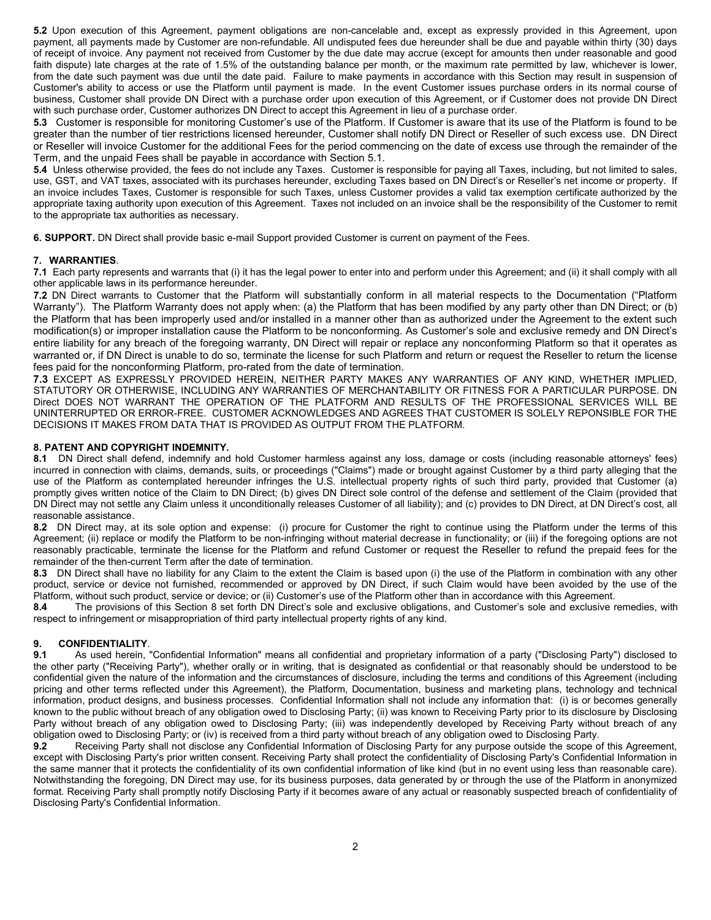**5.2** Upon execution of this Agreement, payment obligations are non-cancelable and, except as expressly provided in this Agreement, upon payment, all payments made by Customer are non-refundable. All undisputed fees due hereunder shall be due and payable within thirty (30) days of receipt of invoice. Any payment not received from Customer by the due date may accrue (except for amounts then under reasonable and good faith dispute) late charges at the rate of 1.5% of the outstanding balance per month, or the maximum rate permitted by law, whichever is lower, from the date such payment was due until the date paid. Failure to make payments in accordance with this Section may result in suspension of Customer's ability to access or use the Platform until payment is made. In the event Customer issues purchase orders in its normal course of business, Customer shall provide DN Direct with a purchase order upon execution of this Agreement, or if Customer does not provide DN Direct with such purchase order, Customer authorizes DN Direct to accept this Agreement in lieu of a purchase order.

**5.3** Customer is responsible for monitoring Customer's use of the Platform. If Customer is aware that its use of the Platform is found to be greater than the number of tier restrictions licensed hereunder, Customer shall notify DN Direct or Reseller of such excess use. DN Direct or Reseller will invoice Customer for the additional Fees for the period commencing on the date of excess use through the remainder of the Term, and the unpaid Fees shall be payable in accordance with Section 5.1.

**5.4** Unless otherwise provided, the fees do not include any Taxes. Customer is responsible for paying all Taxes, including, but not limited to sales, use, GST, and VAT taxes, associated with its purchases hereunder, excluding Taxes based on DN Direct's or Reseller's net income or property. If an invoice includes Taxes, Customer is responsible for such Taxes, unless Customer provides a valid tax exemption certificate authorized by the appropriate taxing authority upon execution of this Agreement. Taxes not included on an invoice shall be the responsibility of the Customer to remit to the appropriate tax authorities as necessary.

**6. SUPPORT.** DN Direct shall provide basic e-mail Support provided Customer is current on payment of the Fees.

## **7. WARRANTIES**.

**7.1** Each party represents and warrants that (i) it has the legal power to enter into and perform under this Agreement; and (ii) it shall comply with all other applicable laws in its performance hereunder.

**7.2** DN Direct warrants to Customer that the Platform will substantially conform in all material respects to the Documentation ("Platform Warranty"). The Platform Warranty does not apply when: (a) the Platform that has been modified by any party other than DN Direct; or (b) the Platform that has been improperly used and/or installed in a manner other than as authorized under the Agreement to the extent such modification(s) or improper installation cause the Platform to be nonconforming. As Customer's sole and exclusive remedy and DN Direct's entire liability for any breach of the foregoing warranty, DN Direct will repair or replace any nonconforming Platform so that it operates as warranted or, if DN Direct is unable to do so, terminate the license for such Platform and return or request the Reseller to return the license fees paid for the nonconforming Platform, pro-rated from the date of termination.

**7.3** EXCEPT AS EXPRESSLY PROVIDED HEREIN, NEITHER PARTY MAKES ANY WARRANTIES OF ANY KIND, WHETHER IMPLIED, STATUTORY OR OTHERWISE, INCLUDING ANY WARRANTIES OF MERCHANTABILITY OR FITNESS FOR A PARTICULAR PURPOSE. DN Direct DOES NOT WARRANT THE OPERATION OF THE PLATFORM AND RESULTS OF THE PROFESSIONAL SERVICES WILL BE UNINTERRUPTED OR ERROR-FREE. CUSTOMER ACKNOWLEDGES AND AGREES THAT CUSTOMER IS SOLELY REPONSIBLE FOR THE DECISIONS IT MAKES FROM DATA THAT IS PROVIDED AS OUTPUT FROM THE PLATFORM.

## **8. PATENT AND COPYRIGHT INDEMNITY.**

**8.1** DN Direct shall defend, indemnify and hold Customer harmless against any loss, damage or costs (including reasonable attorneys' fees) incurred in connection with claims, demands, suits, or proceedings ("Claims") made or brought against Customer by a third party alleging that the use of the Platform as contemplated hereunder infringes the U.S. intellectual property rights of such third party, provided that Customer (a) promptly gives written notice of the Claim to DN Direct; (b) gives DN Direct sole control of the defense and settlement of the Claim (provided that DN Direct may not settle any Claim unless it unconditionally releases Customer of all liability); and (c) provides to DN Direct, at DN Direct's cost, all reasonable assistance.

**8.2** DN Direct may, at its sole option and expense: (i) procure for Customer the right to continue using the Platform under the terms of this Agreement; (ii) replace or modify the Platform to be non-infringing without material decrease in functionality; or (iii) if the foregoing options are not reasonably practicable, terminate the license for the Platform and refund Customer or request the Reseller to refund the prepaid fees for the remainder of the then-current Term after the date of termination.

**8.3** DN Direct shall have no liability for any Claim to the extent the Claim is based upon (i) the use of the Platform in combination with any other product, service or device not furnished, recommended or approved by DN Direct, if such Claim would have been avoided by the use of the Platform, without such product, service or device; or (ii) Customer's use of the Platform other than in accordance with this Agreement.

**8.4** The provisions of this Section 8 set forth DN Direct's sole and exclusive obligations, and Customer's sole and exclusive remedies, with respect to infringement or misappropriation of third party intellectual property rights of any kind.

# **9. CONFIDENTIALITY**.

**9.1** As used herein, "Confidential Information" means all confidential and proprietary information of a party ("Disclosing Party") disclosed to the other party ("Receiving Party"), whether orally or in writing, that is designated as confidential or that reasonably should be understood to be confidential given the nature of the information and the circumstances of disclosure, including the terms and conditions of this Agreement (including pricing and other terms reflected under this Agreement), the Platform, Documentation, business and marketing plans, technology and technical information, product designs, and business processes. Confidential Information shall not include any information that: (i) is or becomes generally known to the public without breach of any obligation owed to Disclosing Party; (ii) was known to Receiving Party prior to its disclosure by Disclosing Party without breach of any obligation owed to Disclosing Party; (iii) was independently developed by Receiving Party without breach of any obligation owed to Disclosing Party; or (iv) is received from a third party without breach of any obligation owed to Disclosing Party.<br>9.2 Receiving Party shall not disclose any Confidential Information of Disclosing Par

**9.2** Receiving Party shall not disclose any Confidential Information of Disclosing Party for any purpose outside the scope of this Agreement, except with Disclosing Party's prior written consent. Receiving Party shall protect the confidentiality of Disclosing Party's Confidential Information in the same manner that it protects the confidentiality of its own confidential information of like kind (but in no event using less than reasonable care). Notwithstanding the foregoing, DN Direct may use, for its business purposes, data generated by or through the use of the Platform in anonymized format. Receiving Party shall promptly notify Disclosing Party if it becomes aware of any actual or reasonably suspected breach of confidentiality of Disclosing Party's Confidential Information.